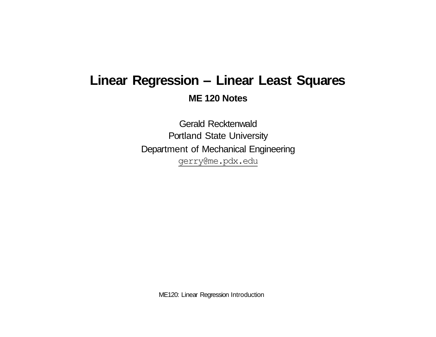# **Linear Regression – Linear Least Squares ME 120 Notes**

Gerald Recktenwald Portland State University Department of Mechanical Engineering [gerry@me.pdx.edu](mailto:gerry@me.pdx.edu)

ME120: Linear Regression Introduction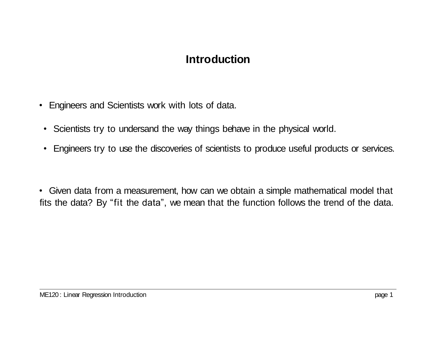## **Introduction**

- Engineers and Scientists work with lots of data.
- Scientists try to undersand the way things behave in the physical world.
- Engineers try to use the discoveries of scientists to produce useful products or services.

• Given data from a measurement, how can we obtain a simple mathematical model that fits the data? By "fit the data", we mean that the function follows the trend of the data.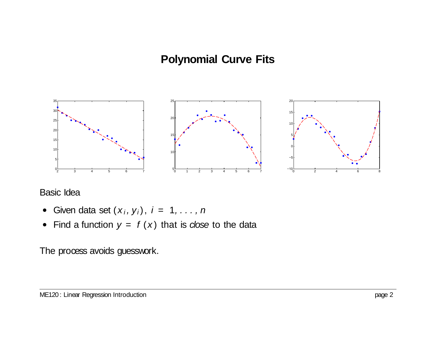## **Polynomial Curve Fits**



#### Basic Idea

- Given data set  $(x_i, y_i)$ ,  $i = 1, \ldots, n$
- Find a function  $y = f(x)$  that is *close* to the data

#### The process avoids guesswork.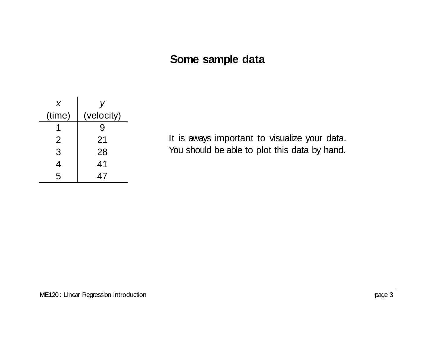#### **Some sample data**

| X              |            |
|----------------|------------|
| (time)         | (velocity) |
|                | 9          |
| $\overline{2}$ | 21         |
| 3              | 28         |
| 4              | 41         |
| 5              | 47         |

It is aways important to visualize your data. You should be able to plot this data by hand.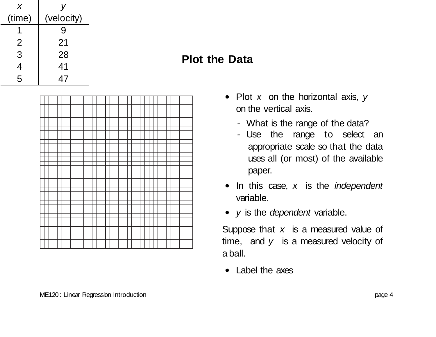| X      |            |
|--------|------------|
| (time) | (velocity) |
|        | 9          |
| 2      | 21         |
| 3      | 28         |
| 4      | 41         |
| 5      | 47         |

#### **Plot the Data**



- Plot *x* on the horizontal axis, *y*  on the vertical axis.
	- *-* What is the range of the data?
	- *-* Use the range to select an appropriate scale so that the data uses all (or most) of the available paper.
- In this case, *x* is the *independent* variable.
- *y* is the *dependent* variable.

Suppose that *x* is a measured value of time, and *y* is a measured velocity of a ball.

• Label the axes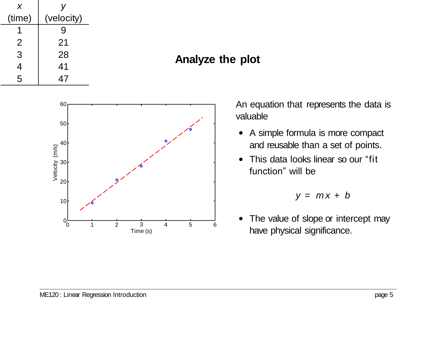

## **Analyze the plot**



An equation that represents the data is valuable

- A simple formula is more compact and reusable than a set of points.
- This data looks linear so our "fit" function" will be

$$
y = mx + b
$$

• The value of slope or intercept may have physical significance.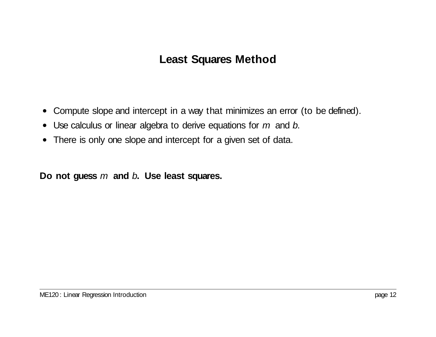# **Least Squares Method**

- Compute slope and intercept in a way that minimizes an error (to be defined).
- Use calculus or linear algebra to derive equations for *m* and *b*.
- There is only one slope and intercept for a given set of data.

**Do not guess** *m* **and** *b***. Use least squares.**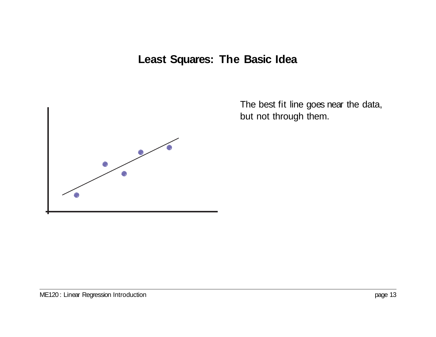# **Least Squares: The Basic Idea**



The best fit line goes near the data, but not through them.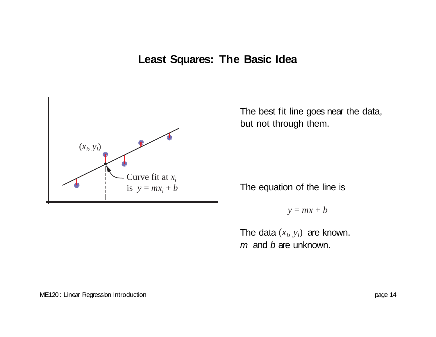## **Least Squares: The Basic Idea**



The best fit line goes near the data, but not through them.

The equation of the line is

 $y = mx + b$ 

The data  $(x_i, y_i)$  are known. *m* and *b* are unknown.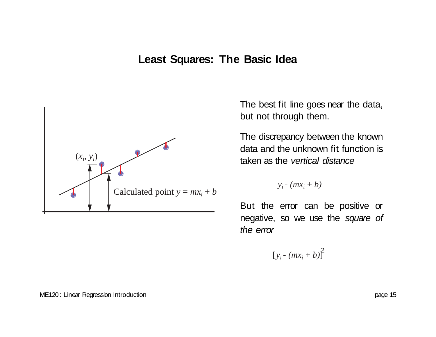#### **Least Squares: The Basic Idea**



The best fit line goes near the data, but not through them.

The discrepancy between the known data and the unknown fit function is taken as the *vertical distance*

 $y_i$  -  $(mx_i + b)$ 

But the error can be positive or negative, so we use the *square of the error*

 $[y_i - (mx_i + b)]^2$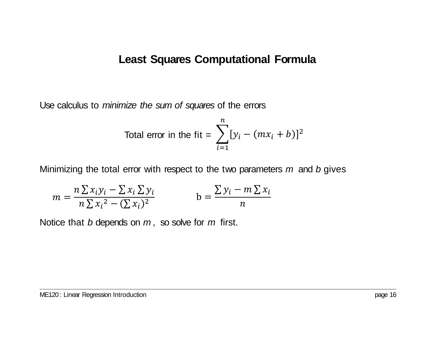#### **Least Squares Computational Formula**

Use calculus to *minimize the sum of squares* of the errors

Total error in the fit = 
$$
\sum_{i=1}^{n} [y_i - (mx_i + b)]^2
$$

Minimizing the total error with respect to the two parameters *m* and *b* gives

$$
m = \frac{n \sum x_i y_i - \sum x_i \sum y_i}{n \sum x_i^2 - (\sum x_i)^2}
$$
 
$$
b = \frac{\sum y_i - m \sum x_i}{n}
$$

Notice that *b* depends on *m* , so solve for *m* first.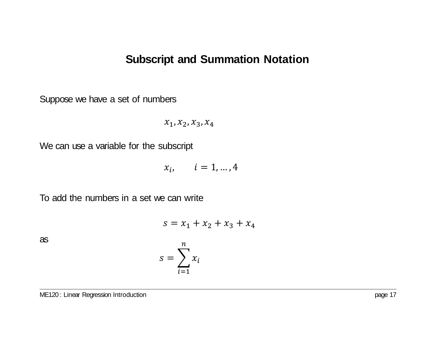Suppose we have a set of numbers

$$
x_1,x_2,x_3,x_4
$$

We can use a variable for the subscript

$$
x_i, \qquad i = 1, \dots, 4
$$

To add the numbers in a set we can write

$$
s = x_1 + x_2 + x_3 + x_4
$$

as

$$
s = \sum_{i=1}^{n} x_i
$$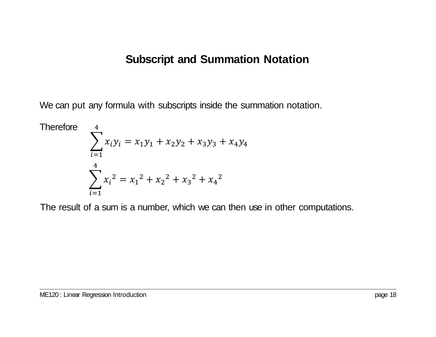We can put any formula with subscripts inside the summation notation.

Therefore  
\n
$$
\sum_{i=1}^{4} x_i y_i = x_1 y_1 + x_2 y_2 + x_3 y_3 + x_4 y_4
$$
\n
$$
\sum_{i=1}^{4} x_i^2 = x_1^2 + x_2^2 + x_3^2 + x_4^2
$$

The result of a sum is a number, which we can then use in other computations.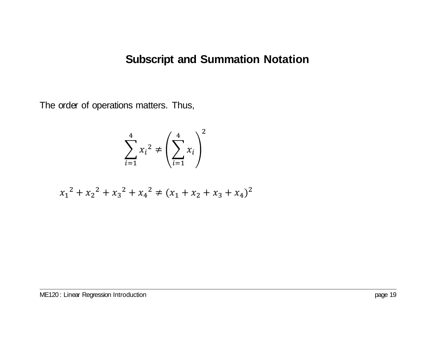The order of operations matters. Thus,

$$
\sum_{i=1}^{4} x_i^2 \neq \left(\sum_{i=1}^{4} x_i\right)^2
$$

$$
x_1^2 + x_2^2 + x_3^2 + x_4^2 \neq (x_1 + x_2 + x_3 + x_4)^2
$$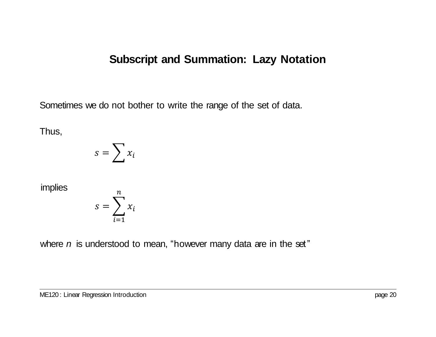Sometimes we do not bother to write the range of the set of data.

Thus,

$$
s = \sum x_i
$$

implies

$$
s = \sum_{i=1}^{n} x_i
$$

where *n* is understood to mean, "however many data are in the set"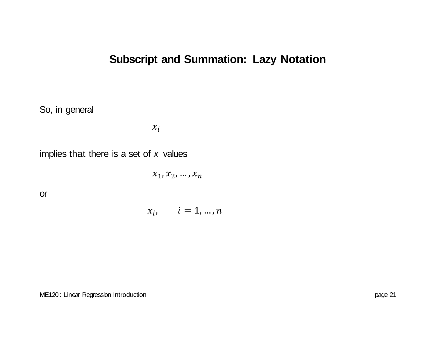So, in general

 $x_i$ 

implies that there is a set of *x* values

 $x_1, x_2, ..., x_n$ 

or

 $x_i, \quad i = 1, ..., n$